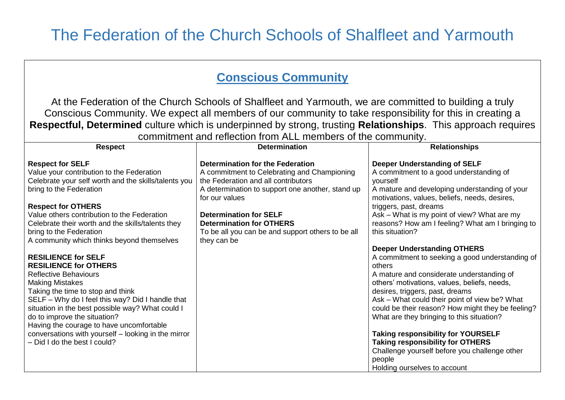## The Federation of the Church Schools of Shalfleet and Yarmouth

## **Conscious Community**

At the Federation of the Church Schools of Shalfleet and Yarmouth, we are committed to building a truly Conscious Community. We expect all members of our community to take responsibility for this in creating a **Respectful, Determined** culture which is underpinned by strong, trusting **Relationships**. This approach requires commitment and reflection from ALL members of the community.

| <b>Respect</b>                                                                                                                                                                                                                                                                                                                                                                                                                                                                                                                                                                                                                                                                                                                                                                                            | <b>Determination</b>                                                                                                                                                                                                                                                                                                                 | <b>Relationships</b>                                                                                                                                                                                                                                                                                                                                                                                                                                                                                                                                                                                                                                                                                                                                                                                                                                                                                                  |  |  |
|-----------------------------------------------------------------------------------------------------------------------------------------------------------------------------------------------------------------------------------------------------------------------------------------------------------------------------------------------------------------------------------------------------------------------------------------------------------------------------------------------------------------------------------------------------------------------------------------------------------------------------------------------------------------------------------------------------------------------------------------------------------------------------------------------------------|--------------------------------------------------------------------------------------------------------------------------------------------------------------------------------------------------------------------------------------------------------------------------------------------------------------------------------------|-----------------------------------------------------------------------------------------------------------------------------------------------------------------------------------------------------------------------------------------------------------------------------------------------------------------------------------------------------------------------------------------------------------------------------------------------------------------------------------------------------------------------------------------------------------------------------------------------------------------------------------------------------------------------------------------------------------------------------------------------------------------------------------------------------------------------------------------------------------------------------------------------------------------------|--|--|
| <b>Respect for SELF</b><br>Value your contribution to the Federation<br>Celebrate your self worth and the skills/talents you<br>bring to the Federation<br><b>Respect for OTHERS</b><br>Value others contribution to the Federation<br>Celebrate their worth and the skills/talents they<br>bring to the Federation<br>A community which thinks beyond themselves<br><b>RESILIENCE for SELF</b><br><b>RESILIENCE for OTHERS</b><br><b>Reflective Behaviours</b><br><b>Making Mistakes</b><br>Taking the time to stop and think<br>SELF - Why do I feel this way? Did I handle that<br>situation in the best possible way? What could I<br>do to improve the situation?<br>Having the courage to have uncomfortable<br>conversations with yourself - looking in the mirror<br>- Did I do the best I could? | Determination for the Federation<br>A commitment to Celebrating and Championing<br>the Federation and all contributors<br>A determination to support one another, stand up<br>for our values<br><b>Determination for SELF</b><br><b>Determination for OTHERS</b><br>To be all you can be and support others to be all<br>they can be | <b>Deeper Understanding of SELF</b><br>A commitment to a good understanding of<br>yourself<br>A mature and developing understanding of your<br>motivations, values, beliefs, needs, desires,<br>triggers, past, dreams<br>Ask – What is my point of view? What are my<br>reasons? How am I feeling? What am I bringing to<br>this situation?<br><b>Deeper Understanding OTHERS</b><br>A commitment to seeking a good understanding of<br>others<br>A mature and considerate understanding of<br>others' motivations, values, beliefs, needs,<br>desires, triggers, past, dreams<br>Ask – What could their point of view be? What<br>could be their reason? How might they be feeling?<br>What are they bringing to this situation?<br><b>Taking responsibility for YOURSELF</b><br><b>Taking responsibility for OTHERS</b><br>Challenge yourself before you challenge other<br>people<br>Holding ourselves to account |  |  |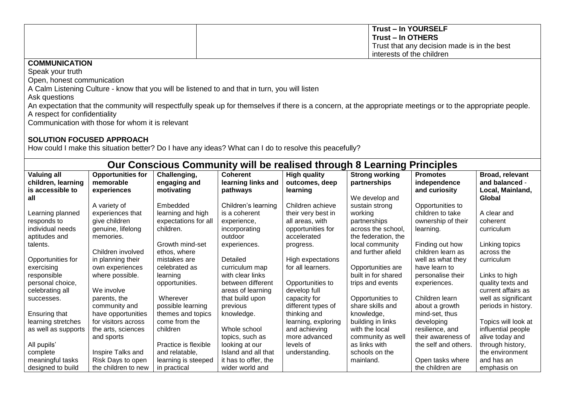|                                                                        |                                                  |                      |                                                                                                        |                     | <b>Trust - In YOURSELF</b>                                                                                                                                   |                           |                     |  |
|------------------------------------------------------------------------|--------------------------------------------------|----------------------|--------------------------------------------------------------------------------------------------------|---------------------|--------------------------------------------------------------------------------------------------------------------------------------------------------------|---------------------------|---------------------|--|
|                                                                        |                                                  |                      |                                                                                                        |                     | <b>Trust - In OTHERS</b>                                                                                                                                     |                           |                     |  |
|                                                                        |                                                  |                      |                                                                                                        |                     | Trust that any decision made is in the best                                                                                                                  |                           |                     |  |
|                                                                        |                                                  |                      |                                                                                                        |                     |                                                                                                                                                              | interests of the children |                     |  |
| <b>COMMUNICATION</b>                                                   |                                                  |                      |                                                                                                        |                     |                                                                                                                                                              |                           |                     |  |
| Speak your truth                                                       |                                                  |                      |                                                                                                        |                     |                                                                                                                                                              |                           |                     |  |
| Open, honest communication                                             |                                                  |                      |                                                                                                        |                     |                                                                                                                                                              |                           |                     |  |
|                                                                        |                                                  |                      | A Calm Listening Culture - know that you will be listened to and that in turn, you will listen         |                     |                                                                                                                                                              |                           |                     |  |
| Ask questions                                                          |                                                  |                      |                                                                                                        |                     |                                                                                                                                                              |                           |                     |  |
|                                                                        |                                                  |                      |                                                                                                        |                     | An expectation that the community will respectfully speak up for themselves if there is a concern, at the appropriate meetings or to the appropriate people. |                           |                     |  |
| A respect for confidentiality                                          |                                                  |                      |                                                                                                        |                     |                                                                                                                                                              |                           |                     |  |
|                                                                        | Communication with those for whom it is relevant |                      |                                                                                                        |                     |                                                                                                                                                              |                           |                     |  |
|                                                                        |                                                  |                      |                                                                                                        |                     |                                                                                                                                                              |                           |                     |  |
|                                                                        |                                                  |                      |                                                                                                        |                     |                                                                                                                                                              |                           |                     |  |
|                                                                        | <b>SOLUTION FOCUSED APPROACH</b>                 |                      |                                                                                                        |                     |                                                                                                                                                              |                           |                     |  |
|                                                                        |                                                  |                      | How could I make this situation better? Do I have any ideas? What can I do to resolve this peacefully? |                     |                                                                                                                                                              |                           |                     |  |
| Our Conscious Community will be realised through 8 Learning Principles |                                                  |                      |                                                                                                        |                     |                                                                                                                                                              |                           |                     |  |
| <b>Valuing all</b>                                                     | <b>Opportunities for</b>                         | Challenging,         | <b>Coherent</b>                                                                                        | <b>High quality</b> | <b>Strong working</b>                                                                                                                                        | <b>Promotes</b>           | Broad, relevant     |  |
| children, learning                                                     | memorable                                        | engaging and         | learning links and                                                                                     | outcomes, deep      | partnerships                                                                                                                                                 | independence              | and balanced -      |  |
| is accessible to                                                       | experiences                                      | motivating           | pathways                                                                                               | learning            |                                                                                                                                                              | and curiosity             | Local, Mainland,    |  |
| all                                                                    |                                                  |                      |                                                                                                        |                     | We develop and                                                                                                                                               |                           | Global              |  |
|                                                                        | A variety of                                     | Embedded             | Children's learning                                                                                    | Children achieve    | sustain strong                                                                                                                                               | Opportunities to          |                     |  |
| Learning planned                                                       | experiences that                                 | learning and high    | is a coherent                                                                                          | their very best in  | working                                                                                                                                                      | children to take          | A clear and         |  |
| responds to                                                            | give children                                    | expectations for all | experience,                                                                                            | all areas, with     | partnerships                                                                                                                                                 | ownership of their        | coherent            |  |
| individual needs                                                       | genuine, lifelong                                | children.            | incorporating                                                                                          | opportunities for   | across the school.                                                                                                                                           | learning.                 | curriculum          |  |
| aptitudes and                                                          | memories.                                        |                      | outdoor                                                                                                | accelerated         | the federation, the                                                                                                                                          |                           |                     |  |
| talents.                                                               |                                                  | Growth mind-set      | experiences.                                                                                           | progress.           | local community                                                                                                                                              | Finding out how           | Linking topics      |  |
|                                                                        | Children involved                                | ethos, where         |                                                                                                        |                     | and further afield                                                                                                                                           | children learn as         | across the          |  |
| Opportunities for                                                      | in planning their                                | mistakes are         | Detailed                                                                                               | High expectations   |                                                                                                                                                              | well as what they         | curriculum          |  |
| exercising                                                             | own experiences                                  | celebrated as        | curriculum map                                                                                         | for all learners.   | Opportunities are                                                                                                                                            | have learn to             |                     |  |
| responsible                                                            | where possible.                                  | learning             | with clear links                                                                                       |                     | built in for shared                                                                                                                                          | personalise their         | Links to high       |  |
| personal choice,                                                       |                                                  | opportunities.       | between different                                                                                      | Opportunities to    | trips and events                                                                                                                                             | experiences.              | quality texts and   |  |
| celebrating all                                                        | We involve                                       |                      | areas of learning                                                                                      | develop full        |                                                                                                                                                              |                           | current affairs as  |  |
| successes.                                                             | parents, the                                     | Wherever             | that build upon                                                                                        | capacity for        | Opportunities to                                                                                                                                             | Children learn            | well as significant |  |

different types of thinking and learning, exploring and achieving more advanced levels of understanding.

Opportunities to share skills and knowledge, building in links with the local community as well as links with schools on the mainland.

Children learn about a growth mind-set, thus developing resilience, and their awareness of the self and others.

well as significant periods in history.

Topics will look at influential people alive today and through history, the environment and has an emphasis on

Open tasks where the children are

Ensuring that learning stretches as well as supports

parents, the community and have opportunities for visitors across the arts, sciences and sports

Wherever possible learning themes and topics come from the children

Practice is flexible and relatable, learning is steeped in practical

previous knowledge.

Whole school topics, such as looking at our Island and all that it has to offer, the wider world and

Inspire Talks and Risk Days to open the children to new

All pupils' complete

meaningful tasks designed to build